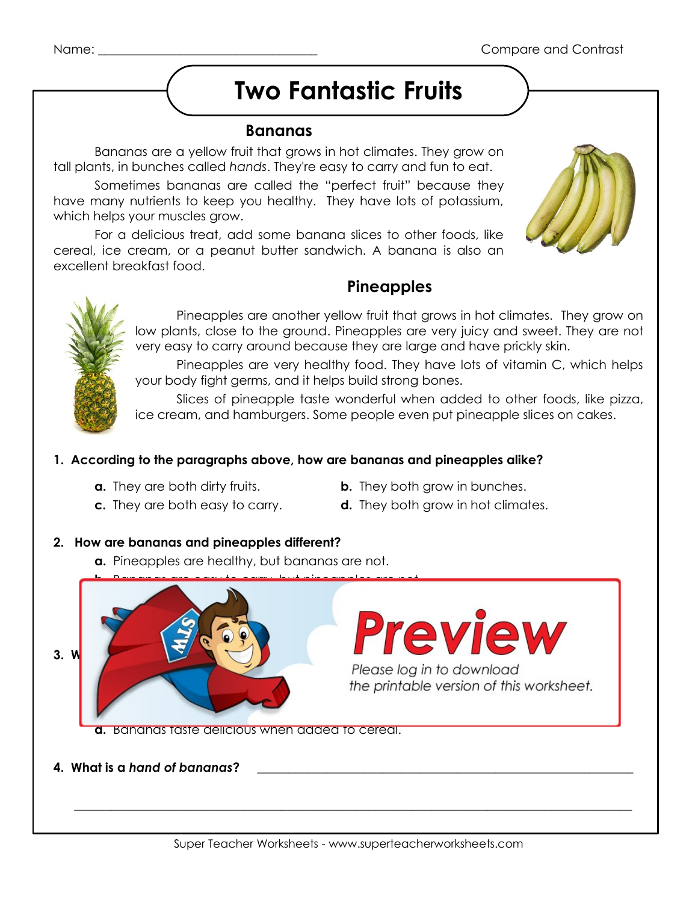# **Two Fantastic Fruits**

#### **Bananas**

Bananas are a yellow fruit that grows in hot climates. They grow on tall plants, in bunches called *hands*. They're easy to carry and fun to eat.

Sometimes bananas are called the "perfect fruit" because they have many nutrients to keep you healthy. They have lots of potassium, which helps your muscles grow.

For a delicious treat, add some banana slices to other foods, like cereal, ice cream, or a peanut butter sandwich. A banana is also an excellent breakfast food.





### **Pineapples**

Pineapples are another yellow fruit that grows in hot climates. They grow on low plants, close to the ground. Pineapples are very juicy and sweet. They are not very easy to carry around because they are large and have prickly skin.

Pineapples are very healthy food. They have lots of vitamin C, which helps your body fight germs, and it helps build strong bones.

Slices of pineapple taste wonderful when added to other foods, like pizza, ice cream, and hamburgers. Some people even put pineapple slices on cakes.

#### **1. According to the paragraphs above, how are bananas and pineapples alike?**

- 
- **a.** They are both dirty fruits. **b.** They both grow in bunches.
- **c.** They are both easy to carry. **d.** They both grow in hot climates.
- 
- 
- **2. How are bananas and pineapples different?**
	- **a.** Pineapples are healthy, but bananas are not.